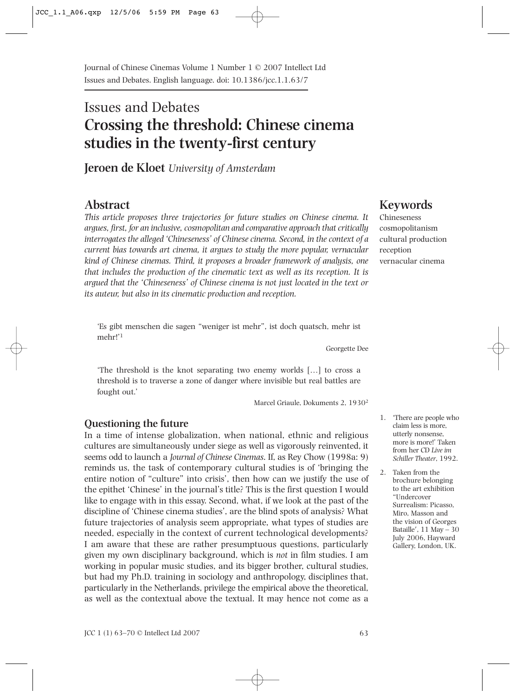Journal of Chinese Cinemas Volume 1 Number 1 © 2007 Intellect Ltd Issues and Debates. English language. doi: 10.1386/jcc.1.1.63/7

# **Issues and Debates** Crossing the threshold: Chinese cinema studies in the twenty-first century

**Jeroen de Kloet** University of Amsterdam

## **Abstract**

This article proposes three trajectories for future studies on Chinese cinema. It argues, first, for an inclusive, cosmopolitan and comparative approach that critically interrogates the alleged 'Chineseness' of Chinese cinema. Second, in the context of a current bias towards art cinema, it argues to study the more popular, vernacular kind of Chinese cinemas. Third, it proposes a broader framework of analysis, one that includes the production of the cinematic text as well as its reception. It is argued that the 'Chineseness' of Chinese cinema is not just located in the text or its auteur, but also in its cinematic production and reception.

'Es gibt menschen die sagen "weniger ist mehr", ist doch quatsch, mehr ist  $mehr$ !'<sup>1</sup>

Georgette Dee

'The threshold is the knot separating two enemy worlds [...] to cross a threshold is to traverse a zone of danger where invisible but real battles are fought out.'

Marcel Griaule, Dokuments 2, 1930<sup>2</sup>

### **Ouestioning the future**

In a time of intense globalization, when national, ethnic and religious cultures are simultaneously under siege as well as vigorously reinvented, it seems odd to launch a Journal of Chinese Cinemas. If, as Rey Chow (1998a: 9) reminds us, the task of contemporary cultural studies is of 'bringing the entire notion of "culture" into crisis', then how can we justify the use of the epithet 'Chinese' in the journal's title? This is the first question I would like to engage with in this essay. Second, what, if we look at the past of the discipline of 'Chinese cinema studies', are the blind spots of analysis? What future trajectories of analysis seem appropriate, what types of studies are needed, especially in the context of current technological developments? I am aware that these are rather presumptuous questions, particularly given my own disciplinary background, which is not in film studies. I am working in popular music studies, and its bigger brother, cultural studies, but had my Ph.D. training in sociology and anthropology, disciplines that, particularly in the Netherlands, privilege the empirical above the theoretical, as well as the contextual above the textual. It may hence not come as a

## Keywords

Chineseness cosmopolitanism cultural production reception vernacular cinema

- 1. There are people who claim less is more, utterly nonsense, more is more!' Taken from her CD Live im Schiller Theater, 1992.
- $2.$ Taken from the brochure belonging to the art exhibition "Undercover Surrealism: Picasso, Miro. Masson and the vision of Georges Bataille',  $11$  May  $-30$ July 2006, Hayward Gallery, London, UK.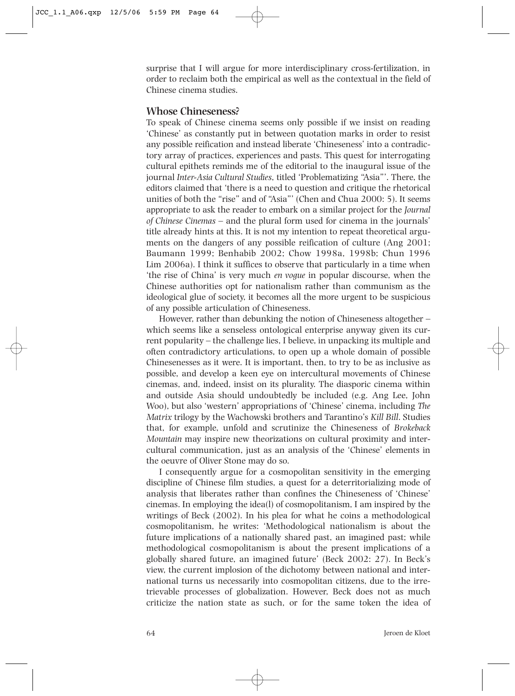surprise that I will argue for more interdisciplinary cross-fertilization, in order to reclaim both the empirical as well as the contextual in the field of Chinese cinema studies.

#### **Whose Chineseness?**

To speak of Chinese cinema seems only possible if we insist on reading 'Chinese' as constantly put in between quotation marks in order to resist any possible reification and instead liberate 'Chineseness' into a contradictory array of practices, experiences and pasts. This quest for interrogating cultural epithets reminds me of the editorial to the inaugural issue of the journal Inter-Asia Cultural Studies, titled 'Problematizing "Asia"'. There, the editors claimed that 'there is a need to question and critique the rhetorical unities of both the "rise" and of "Asia"' (Chen and Chua 2000: 5). It seems appropriate to ask the reader to embark on a similar project for the Journal of Chinese Cinemas – and the plural form used for cinema in the journals' title already hints at this. It is not my intention to repeat theoretical arguments on the dangers of any possible reification of culture (Ang 2001; Baumann 1999; Benhabib 2002; Chow 1998a, 1998b; Chun 1996 Lim 2006a). I think it suffices to observe that particularly in a time when 'the rise of China' is very much en vogue in popular discourse, when the Chinese authorities opt for nationalism rather than communism as the ideological glue of society, it becomes all the more urgent to be suspicious of any possible articulation of Chineseness.

However, rather than debunking the notion of Chineseness altogether – which seems like a senseless ontological enterprise anyway given its current popularity – the challenge lies, I believe, in unpacking its multiple and often contradictory articulations, to open up a whole domain of possible Chinesenesses as it were. It is important, then, to try to be as inclusive as possible, and develop a keen eye on intercultural movements of Chinese cinemas, and, indeed, insist on its plurality. The diasporic cinema within and outside Asia should undoubtedly be included (e.g. Ang Lee, John Woo), but also 'western' appropriations of 'Chinese' cinema, including The *Matrix* trilogy by the Wachowski brothers and Tarantino's Kill Bill. Studies that, for example, unfold and scrutinize the Chineseness of Brokeback Mountain may inspire new theorizations on cultural proximity and intercultural communication, just as an analysis of the 'Chinese' elements in the oeuvre of Oliver Stone may do so.

I consequently argue for a cosmopolitan sensitivity in the emerging discipline of Chinese film studies, a quest for a deterritorializing mode of analysis that liberates rather than confines the Chineseness of 'Chinese' cinemas. In employing the idea(l) of cosmopolitanism, I am inspired by the writings of Beck (2002). In his plea for what he coins a methodological cosmopolitanism, he writes: 'Methodological nationalism is about the future implications of a nationally shared past, an imagined past; while methodological cosmopolitanism is about the present implications of a globally shared future, an imagined future' (Beck 2002: 27). In Beck's view, the current implosion of the dichotomy between national and international turns us necessarily into cosmopolitan citizens, due to the irretrievable processes of globalization. However, Beck does not as much criticize the nation state as such, or for the same token the idea of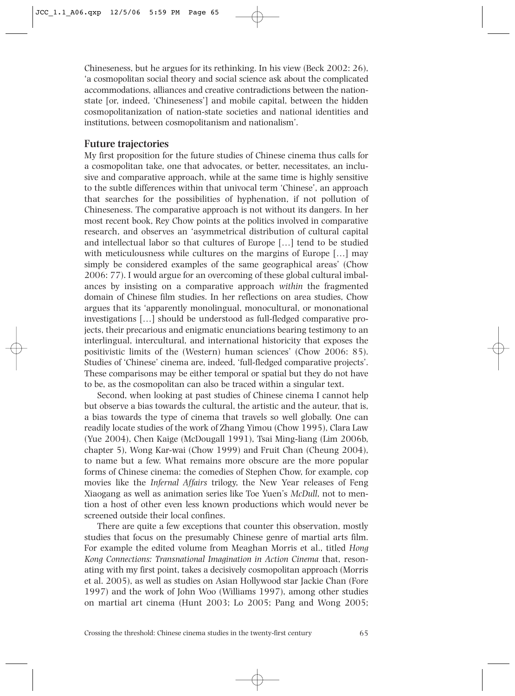Chineseness, but he argues for its rethinking. In his view (Beck 2002: 26), 'a cosmopolitan social theory and social science ask about the complicated accommodations, alliances and creative contradictions between the nationstate [or, indeed, 'Chineseness'] and mobile capital, between the hidden cosmopolitanization of nation-state societies and national identities and institutions, between cosmopolitanism and nationalism'.

#### **Future trajectories**

My first proposition for the future studies of Chinese cinema thus calls for a cosmopolitan take, one that advocates, or better, necessitates, an inclusive and comparative approach, while at the same time is highly sensitive to the subtle differences within that univocal term 'Chinese', an approach that searches for the possibilities of hyphenation, if not pollution of Chineseness. The comparative approach is not without its dangers. In her most recent book, Rey Chow points at the politics involved in comparative research, and observes an 'asymmetrical distribution of cultural capital and intellectual labor so that cultures of Europe [...] tend to be studied with meticulousness while cultures on the margins of Europe [...] may simply be considered examples of the same geographical areas' (Chow 2006: 77). I would argue for an overcoming of these global cultural imbalances by insisting on a comparative approach within the fragmented domain of Chinese film studies. In her reflections on area studies, Chow argues that its 'apparently monolingual, monocultural, or mononational investigations [...] should be understood as full-fledged comparative projects, their precarious and enigmatic enunciations bearing testimony to an interlingual, intercultural, and international historicity that exposes the positivistic limits of the (Western) human sciences' (Chow 2006: 85). Studies of 'Chinese' cinema are, indeed, 'full-fledged comparative projects'. These comparisons may be either temporal or spatial but they do not have to be, as the cosmopolitan can also be traced within a singular text.

Second, when looking at past studies of Chinese cinema I cannot help but observe a bias towards the cultural, the artistic and the auteur, that is, a bias towards the type of cinema that travels so well globally. One can readily locate studies of the work of Zhang Yimou (Chow 1995), Clara Law (Yue 2004), Chen Kaige (McDougall 1991), Tsai Ming-liang (Lim 2006b, chapter 5), Wong Kar-wai (Chow 1999) and Fruit Chan (Cheung 2004), to name but a few. What remains more obscure are the more popular forms of Chinese cinema: the comedies of Stephen Chow, for example, cop movies like the *Infernal Affairs* trilogy, the New Year releases of Feng Xiaogang as well as animation series like Toe Yuen's McDull, not to mention a host of other even less known productions which would never be screened outside their local confines.

There are quite a few exceptions that counter this observation, mostly studies that focus on the presumably Chinese genre of martial arts film. For example the edited volume from Meaghan Morris et al., titled Hong Kong Connections: Transnational Imagination in Action Cinema that, resonating with my first point, takes a decisively cosmopolitan approach (Morris et al. 2005), as well as studies on Asian Hollywood star Jackie Chan (Fore 1997) and the work of John Woo (Williams 1997), among other studies on martial art cinema (Hunt 2003; Lo 2005; Pang and Wong 2005;

65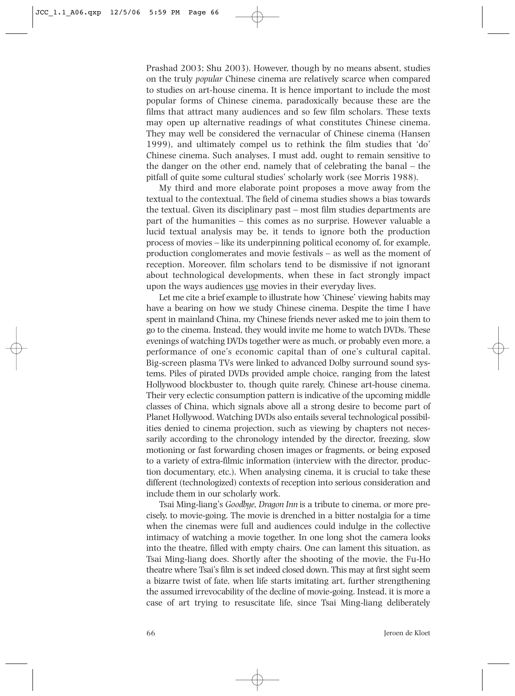Prashad 2003; Shu 2003). However, though by no means absent, studies on the truly *popular* Chinese cinema are relatively scarce when compared to studies on art-house cinema. It is hence important to include the most popular forms of Chinese cinema, paradoxically because these are the films that attract many audiences and so few film scholars. These texts may open up alternative readings of what constitutes Chinese cinema. They may well be considered the vernacular of Chinese cinema (Hansen 1999), and ultimately compel us to rethink the film studies that 'do' Chinese cinema. Such analyses, I must add, ought to remain sensitive to the danger on the other end, namely that of celebrating the banal – the pitfall of quite some cultural studies' scholarly work (see Morris 1988).

My third and more elaborate point proposes a move away from the textual to the contextual. The field of cinema studies shows a bias towards the textual. Given its disciplinary past - most film studies departments are part of the humanities - this comes as no surprise. However valuable a lucid textual analysis may be, it tends to ignore both the production process of movies – like its underpinning political economy of, for example, production conglomerates and movie festivals – as well as the moment of reception. Moreover, film scholars tend to be dismissive if not ignorant about technological developments, when these in fact strongly impact upon the ways audiences use movies in their everyday lives.

Let me cite a brief example to illustrate how 'Chinese' viewing habits may have a bearing on how we study Chinese cinema. Despite the time I have spent in mainland China, my Chinese friends never asked me to join them to go to the cinema. Instead, they would invite me home to watch DVDs. These evenings of watching DVDs together were as much, or probably even more, a performance of one's economic capital than of one's cultural capital. Big-screen plasma TVs were linked to advanced Dolby surround sound systems. Piles of pirated DVDs provided ample choice, ranging from the latest Hollywood blockbuster to, though quite rarely, Chinese art-house cinema. Their very eclectic consumption pattern is indicative of the upcoming middle classes of China, which signals above all a strong desire to become part of Planet Hollywood. Watching DVDs also entails several technological possibilities denied to cinema projection, such as viewing by chapters not necessarily according to the chronology intended by the director, freezing, slow motioning or fast forwarding chosen images or fragments, or being exposed to a variety of extra-filmic information (interview with the director, production documentary, etc.). When analysing cinema, it is crucial to take these different (technologized) contexts of reception into serious consideration and include them in our scholarly work.

Tsai Ming-liang's Goodbye, Dragon Inn is a tribute to cinema, or more precisely, to movie-going. The movie is drenched in a bitter nostalgia for a time when the cinemas were full and audiences could indulge in the collective intimacy of watching a movie together. In one long shot the camera looks into the theatre, filled with empty chairs. One can lament this situation, as Tsai Ming-liang does. Shortly after the shooting of the movie, the Fu-Ho theatre where Tsai's film is set indeed closed down. This may at first sight seem a bizarre twist of fate, when life starts imitating art, further strengthening the assumed irrevocability of the decline of movie-going. Instead, it is more a case of art trying to resuscitate life, since Tsai Ming-liang deliberately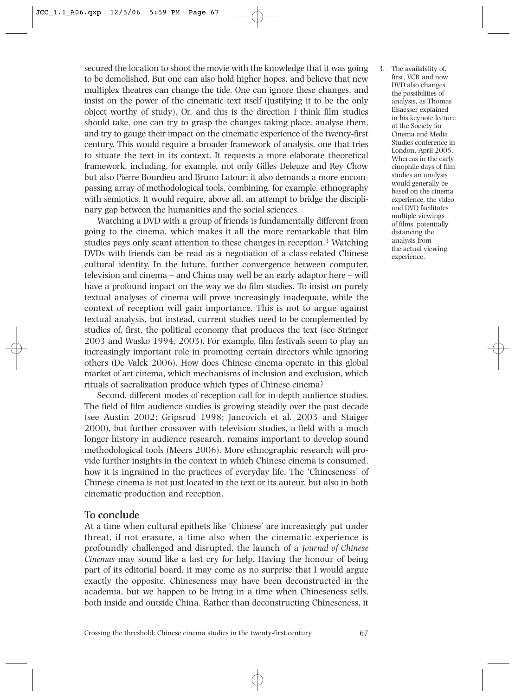secured the location to shoot the movie with the knowledge that it was going to be demolished. But one can also hold higher hopes, and believe that new multiplex theatres can change the tide. One can ignore these changes, and insist on the power of the cinematic text itself (justifying it to be the only object worthy of study). Or, and this is the direction I think film studies should take, one can try to grasp the changes taking place, analyse them, and try to gauge their impact on the cinematic experience of the twenty-first century. This would require a broader framework of analysis, one that tries to situate the text in its context. It requests a more elaborate theoretical framework, including, for example, not only Gilles Deleuze and Rey Chow but also Pierre Bourdieu and Bruno Latour; it also demands a more encompassing array of methodological tools, combining, for example, ethnography with semiotics. It would require, above all, an attempt to bridge the disciplinary gap between the humanities and the social sciences.

Watching a DVD with a group of friends is fundamentally different from going to the cinema, which makes it all the more remarkable that film studies pays only scant attention to these changes in reception.<sup>3</sup> Watching DVDs with friends can be read as a negotiation of a class-related Chinese cultural identity. In the future, further convergence between computer, television and cinema – and China may well be an early adaptor here – will have a profound impact on the way we do film studies. To insist on purely textual analyses of cinema will prove increasingly inadequate, while the context of reception will gain importance. This is not to argue against textual analysis, but instead, current studies need to be complemented by studies of, first, the political economy that produces the text (see Stringer 2003 and Wasko 1994, 2003). For example, film festivals seem to play an increasingly important role in promoting certain directors while ignoring others (De Valck 2006). How does Chinese cinema operate in this global market of art cinema, which mechanisms of inclusion and exclusion, which rituals of sacralization produce which types of Chinese cinema?

Second, different modes of reception call for in-depth audience studies. The field of film audience studies is growing steadily over the past decade (see Austin 2002; Gripsrud 1998; Jancovich et al. 2003 and Staiger 2000), but further crossover with television studies, a field with a much longer history in audience research, remains important to develop sound methodological tools (Meers 2006). More ethnographic research will provide further insights in the context in which Chinese cinema is consumed, how it is ingrained in the practices of everyday life. The 'Chineseness' of Chinese cinema is not just located in the text or its auteur, but also in both cinematic production and reception.

#### To conclude

At a time when cultural epithets like 'Chinese' are increasingly put under threat, if not erasure, a time also when the cinematic experience is profoundly challenged and disrupted, the launch of a Journal of Chinese Cinemas may sound like a last cry for help. Having the honour of being part of its editorial board, it may come as no surprise that I would argue exactly the opposite. Chineseness may have been deconstructed in the academia, but we happen to be living in a time when Chineseness sells, both inside and outside China. Rather than deconstructing Chineseness, it 3. The availability of, first, VCR and now DVD also changes the possibilities of analysis, as Thomas Elsaesser explained in his keynote lecture at the Society for Cinema and Media Studies conference in London, April 2005. Whereas in the early cinophile days of film studies an analysis would generally be based on the cinema experience, the video and DVD facilitates multiple viewings of films, potentially distancing the analysis from the actual viewing experience.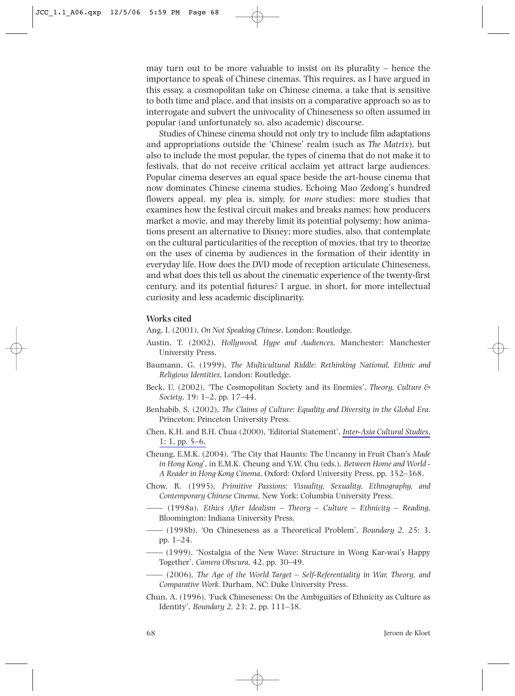may turn out to be more valuable to insist on its plurality – hence the importance to speak of Chinese cinemas. This requires, as I have argued in this essay, a cosmopolitan take on Chinese cinema, a take that is sensitive to both time and place, and that insists on a comparative approach so as to interrogate and subvert the univocality of Chineseness so often assumed in popular (and unfortunately so, also academic) discourse.

Studies of Chinese cinema should not only try to include film adaptations and appropriations outside the 'Chinese' realm (such as The Matrix), but also to include the most popular, the types of cinema that do not make it to festivals, that do not receive critical acclaim yet attract large audiences. Popular cinema deserves an equal space beside the art-house cinema that now dominates Chinese cinema studies. Echoing Mao Zedong's hundred flowers appeal, my plea is, simply, for *more* studies: more studies that examines how the festival circuit makes and breaks names; how producers market a movie, and may thereby limit its potential polysemy; how animations present an alternative to Disney; more studies, also, that contemplate on the cultural particularities of the reception of movies, that try to theorize on the uses of cinema by audiences in the formation of their identity in everyday life. How does the DVD mode of reception articulate Chineseness, and what does this tell us about the cinematic experience of the twenty-first century, and its potential futures? I argue, in short, for more intellectual curiosity and less academic disciplinarity.

#### Works cited

Ang, I. (2001), On Not Speaking Chinese, London: Routledge.

- Austin, T. (2002), Hollywood, Hype and Audiences, Manchester: Manchester University Press.
- Baumann, G. (1999), The Multicultural Riddle: Rethinking National, Ethnic and *Religious Identities, L*ondon: Routledge.
- Beck, U. (2002), 'The Cosmopolitan Society and its Enemies', Theory, Culture & Society, 19: 1-2, pp. 17-44.
- Benhabib, S. (2002), The Claims of Culture: Equality and Diversity in the Global Era. Princeton: Princeton University Press.
- Chen, K.H. and B.H. Chua (2000), 'Editorial Statement', Inter-Asia Cultural Studies, 1: 1, pp. 5-6.
- Cheung, E.M.K. (2004). 'The City that Haunts: The Uncanny in Fruit Chan's Made in Hong Kong', in E.M.K. Cheung and Y.W. Chu (eds.), Between Home and World -A Reader in Hong Kong Cinema, Oxford: Oxford University Press, pp. 352-368.
- Chow, R. (1995), Primitive Passions: Visuality, Sexuality, Ethnography, and Contemporary Chinese Cinema, New York: Columbia University Press.
- (1998a), Ethics After Idealism Theory Culture Ethnicity Reading, Bloomington: Indiana University Press.
- (1998b), 'On Chineseness as a Theoretical Problem', Boundary 2, 25: 3, pp.  $1-24$ .
- (1999), 'Nostalgia of the New Wave: Structure in Wong Kar-wai's Happy Together', Camera Obscura, 42, pp. 30-49.
- (2006), The Age of the World Target Self-Referentiality in War, Theory, and Comparative Work. Durham, NC: Duke University Press.
- Chun, A. (1996), 'Fuck Chineseness: On the Ambiguities of Ethnicity as Culture as Identity', Boundary 2, 23: 2, pp. 111-38.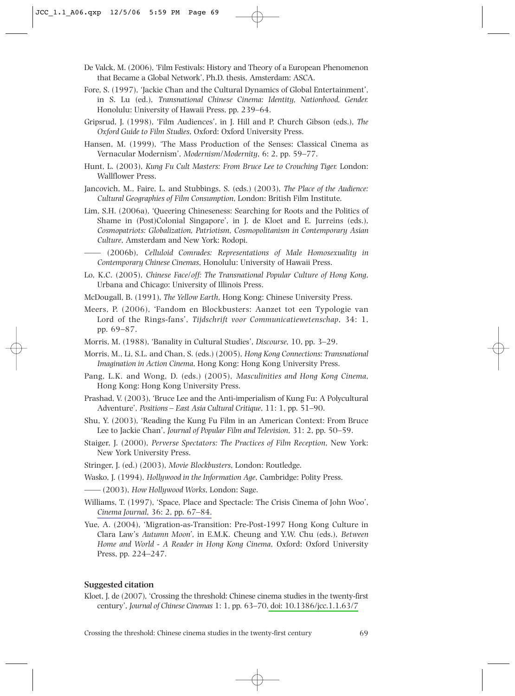- De Valck, M. (2006), 'Film Festivals: History and Theory of a European Phenomenon that Became a Global Network', Ph.D. thesis, Amsterdam: ASCA.
- Fore, S. (1997), 'Jackie Chan and the Cultural Dynamics of Global Entertainment', in S. Lu (ed.), Transnational Chinese Cinema: Identity, Nationhood, Gender. Honolulu: University of Hawaii Press, pp. 239-64.
- Gripsrud, J. (1998), 'Film Audiences', in J. Hill and P. Church Gibson (eds.), The Oxford Guide to Film Studies, Oxford: Oxford University Press.
- Hansen, M. (1999), 'The Mass Production of the Senses: Classical Cinema as Vernacular Modernism', Modernism/Modernity, 6: 2, pp. 59-77.
- Hunt, L. (2003), Kung Fu Cult Masters: From Bruce Lee to Crouching Tiger. London: Wallflower Press.
- Jancovich, M., Faire, L. and Stubbings, S. (eds.) (2003), The Place of the Audience: Cultural Geographies of Film Consumption, London: British Film Institute.
- Lim, S.H. (2006a), 'Queering Chineseness: Searching for Roots and the Politics of Shame in (Post)Colonial Singapore', in J. de Kloet and E. Jurreins (eds.), Cosmopatriots: Globalization, Patriotism, Cosmopolitanism in Contemporary Asian Culture, Amsterdam and New York: Rodopi.
- (2006b), Celluloid Comrades: Representations of Male Homosexuality in Contemporary Chinese Cinemas, Honolulu: University of Hawaii Press.
- Lo, K.C. (2005), Chinese Face/off: The Transnational Popular Culture of Hong Kong, Urbana and Chicago: University of Illinois Press.
- McDougall, B. (1991), The Yellow Earth, Hong Kong: Chinese University Press.
- Meers, P. (2006), 'Fandom en Blockbusters: Aanzet tot een Typologie van Lord of the Rings-fans', Tijdschrift voor Communicatiewetenschap, 34: 1, pp. 69-87.

Morris, M. (1988), 'Banality in Cultural Studies', Discourse, 10, pp. 3-29.

- Morris, M., Li, S.L. and Chan, S. (eds.) (2005), Hong Kong Connections: Transnational Imagination in Action Cinema, Hong Kong: Hong Kong University Press.
- Pang, L.K. and Wong, D. (eds.) (2005), Masculinities and Hong Kong Cinema, Hong Kong: Hong Kong University Press.
- Prashad, V. (2003), 'Bruce Lee and the Anti-imperialism of Kung Fu: A Polycultural Adventure', Positions - East Asia Cultural Critique, 11: 1, pp. 51-90.
- Shu, Y. (2003), 'Reading the Kung Fu Film in an American Context: From Bruce Lee to Jackie Chan', Journal of Popular Film and Television, 31: 2, pp. 50–59.
- Staiger, J. (2000), Perverse Spectators: The Practices of Film Reception, New York: New York University Press.
- Stringer, J. (ed.) (2003), Movie Blockbusters, London: Routledge.
- Wasko, J. (1994), Hollywood in the Information Age, Cambridge: Polity Press. -(2003), How Hollywood Works, London: Sage.
- Williams, T. (1997), 'Space, Place and Spectacle: The Crisis Cinema of John Woo', Cinema Journal, 36: 2, pp. 67-84.
- Yue, A. (2004), 'Migration-as-Transition: Pre-Post-1997 Hong Kong Culture in Clara Law's Autumn Moon', in E.M.K. Cheung and Y.W. Chu (eds.), Between Home and World - A Reader in Hong Kong Cinema, Oxford: Oxford University Press, pp. 224–247.

#### **Suggested citation**

Kloet, J. de (2007), 'Crossing the threshold: Chinese cinema studies in the twenty-first century', Journal of Chinese Cinemas 1: 1, pp. 63-70, doi: 10.1386/jcc.1.1.63/7

Crossing the threshold: Chinese cinema studies in the twenty-first century